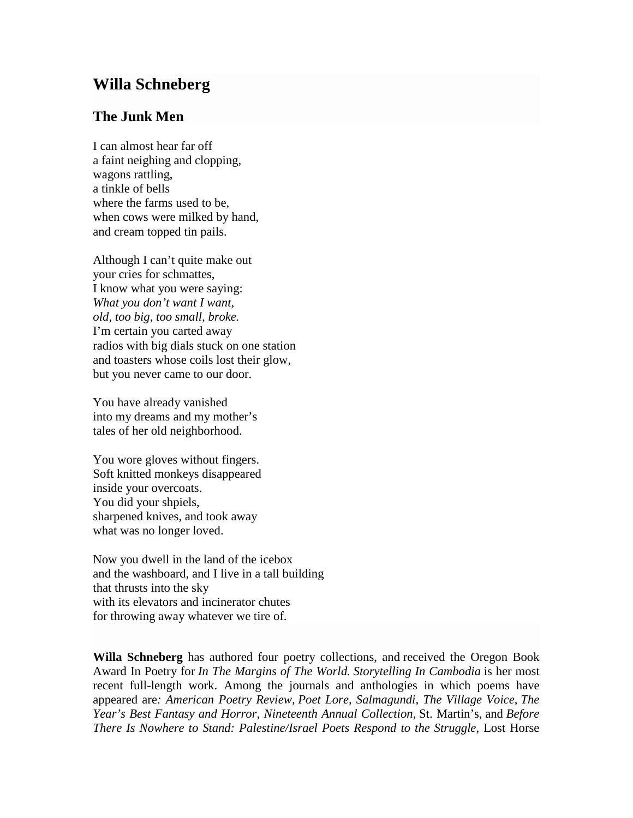## **Willa Schneberg**

## **The Junk Men**

I can almost hear far off a faint neighing and clopping, wagons rattling, a tinkle of bells where the farms used to be, when cows were milked by hand. and cream topped tin pails.

Although I can't quite make out your cries for schmattes, I know what you were saying: *What you don't want I want, old, too big, too small, broke.* I'm certain you carted away radios with big dials stuck on one station and toasters whose coils lost their glow, but you never came to our door.

You have already vanished into my dreams and my mother's tales of her old neighborhood.

You wore gloves without fingers. Soft knitted monkeys disappeared inside your overcoats. You did your shpiels, sharpened knives, and took away what was no longer loved.

Now you dwell in the land of the icebox and the washboard, and I live in a tall building that thrusts into the sky with its elevators and incinerator chutes for throwing away whatever we tire of.

**Willa Schneberg** has authored four poetry collections, and received the Oregon Book Award In Poetry for *In The Margins of The World. Storytelling In Cambodia* is her most recent full-length work. Among the journals and anthologies in which poems have appeared are*: American Poetry Review, Poet Lore, Salmagundi, The Village Voice*, *The Year's Best Fantasy and Horror, Nineteenth Annual Collection,* St. Martin's, and *Before There Is Nowhere to Stand: Palestine/Israel Poets Respond to the Struggle*, Lost Horse